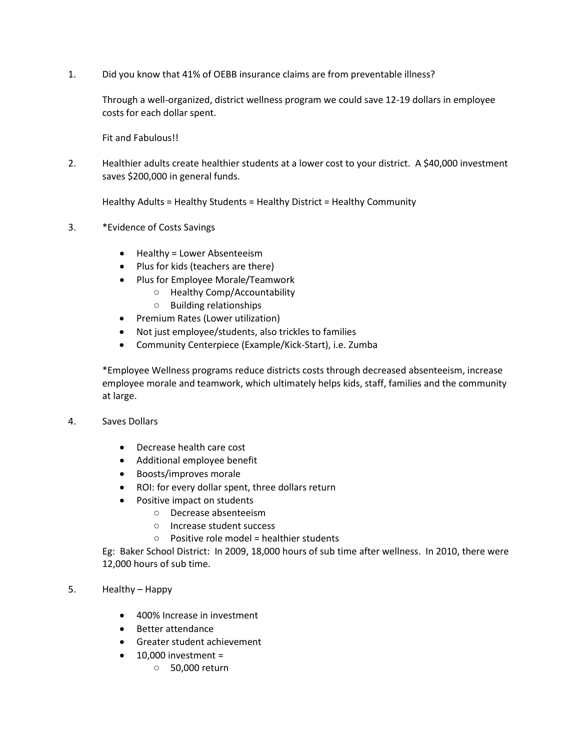1. Did you know that 41% of OEBB insurance claims are from preventable illness?

Through a well-organized, district wellness program we could save 12-19 dollars in employee costs for each dollar spent.

Fit and Fabulous!!

2. Healthier adults create healthier students at a lower cost to your district. A \$40,000 investment saves \$200,000 in general funds.

Healthy Adults = Healthy Students = Healthy District = Healthy Community

- 3. \*Evidence of Costs Savings
	- Healthy = Lower Absenteeism
	- Plus for kids (teachers are there)
	- Plus for Employee Morale/Teamwork
		- Healthy Comp/Accountability
			- Building relationships
	- Premium Rates (Lower utilization)
	- Not just employee/students, also trickles to families
	- Community Centerpiece (Example/Kick-Start), i.e. Zumba

\*Employee Wellness programs reduce districts costs through decreased absenteeism, increase employee morale and teamwork, which ultimately helps kids, staff, families and the community at large.

- 4. Saves Dollars
	- Decrease health care cost
	- Additional employee benefit
	- Boosts/improves morale
	- ROI: for every dollar spent, three dollars return
	- Positive impact on students
		- Decrease absenteeism
		- Increase student success
		- Positive role model = healthier students

Eg: Baker School District: In 2009, 18,000 hours of sub time after wellness. In 2010, there were 12,000 hours of sub time.

- 5. Healthy Happy
	- 400% Increase in investment
	- Better attendance
	- Greater student achievement
	- $\bullet$  10.000 investment =
		- 50,000 return